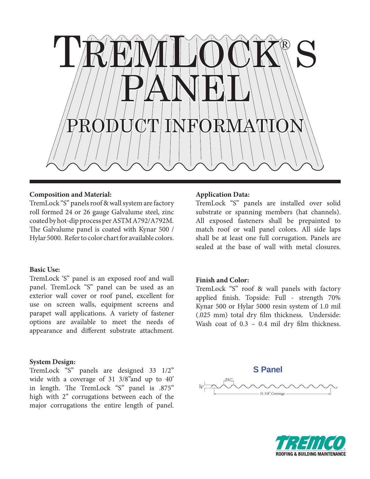

#### **Composition and Material:**

TremLock "S" panels roof & wall system are factory roll formed 24 or 26 gauge Galvalume steel, zinc coated by hot-dip process per ASTM A792/A792M. The Galvalume panel is coated with Kynar 500 / Hylar 5000. Refer to color chart for available colors.

## **Basic Use:**

TremLock 'S" panel is an exposed roof and wall panel. TremLock "S" panel can be used as an exterior wall cover or roof panel, excellent for use on screen walls, equipment screens and parapet wall applications. A variety of fastener options are available to meet the needs of appearance and different substrate attachment.

#### **System Design:**

TremLock "S" panels are designed 33 1/2" wide with a coverage of 31 3/8"and up to 40' in length. The TremLock "S" panel is .875" high with 2" corrugations between each of the major corrugations the entire length of panel.

#### **Application Data:**

TremLock "S" panels are installed over solid substrate or spanning members (hat channels). All exposed fasteners shall be prepainted to match roof or wall panel colors. All side laps shall be at least one full corrugation. Panels are sealed at the base of wall with metal closures.

# **Finish and Color:**

TremLock "S" roof & wall panels with factory applied finish. Topside: Full - strength 70% Kynar 500 or Hylar 5000 resin system of 1.0 mil (.025 mm) total dry film thickness. Underside: Wash coat of  $0.3 - 0.4$  mil dry film thickness.